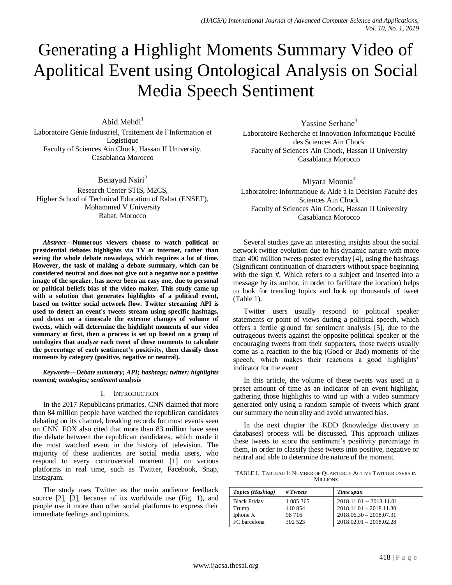# Generating a Highlight Moments Summary Video of Apolitical Event using Ontological Analysis on Social Media Speech Sentiment

Abid Mehdi $<sup>1</sup>$ </sup>

Laboratoire Génie Industriel, Traitement de l'Information et Logistique Faculty of Sciences Ain Chock, Hassan II University. Casablanca Morocco

Benayad Nsiri<sup>2</sup> Research Center STIS, M2CS, Higher School of Technical Education of Rabat (ENSET), Mohammed V University Rabat, Morocco

*Abstract***—Numerous viewers choose to watch political or presidential debates highlights via TV or internet, rather than seeing the whole debate nowadays, which requires a lot of time. However, the task of making a debate summary, which can be considered neutral and does not give out a negative nor a positive image of the speaker, has never been an easy one, due to personal or political beliefs bias of the video maker. This study came up with a solution that generates highlights of a political event, based on twitter social network flow. Twitter streaming API is used to detect an event's tweets stream using specific hashtags, and detect on a timescale the extreme changes of volume of tweets, which will determine the highlight moments of our video summary at first, then a process is set up based on a group of ontologies that analyze each tweet of these moments to calculate the percentage of each sentiment's positivity, then classify those moments by category (positive, negative or neutral).**

*Keywords—Debate summary; API; hashtags; twitter; highlights moment; ontologies; sentiment analysis*

## I. INTRODUCTION

In the 2017 Republicans primaries, CNN claimed that more than 84 million people have watched the republican candidates debating on its channel, breaking records for most events seen on CNN. FOX also cited that more than 83 million have seen the debate between the republican candidates, which made it the most watched event in the history of television. The majority of these audiences are social media users, who respond to every controversial moment [1] on various platforms in real time, such as Twitter, Facebook, Snap, Instagram.

The study uses Twitter as the main audience feedback source [2], [3], because of its worldwide use (Fig. 1), and people use it more than other social platforms to express their immediate feelings and opinions.

Yassine Serhane<sup>3</sup> Laboratoire Recherche et Innovation Informatique Faculté des Sciences Ain Chock Faculty of Sciences Ain Chock, Hassan II University Casablanca Morocco

Miyara Mounia<sup>4</sup> Laboratoire: Informatique & Aide à la Décision Faculté des Sciences Ain Chock Faculty of Sciences Ain Chock, Hassan II University Casablanca Morocco

Several studies gave an interesting insights about the social network twitter evolution due to his dynamic nature with more than 400 million tweets posted everyday [4], using the hashtags (Significant continuation of characters without space beginning with the sign #, Which refers to a subject and inserted into a message by its author, in order to facilitate the location) helps to look for trending topics and look up thousands of tweet (Table 1).

Twitter users usually respond to political speaker statements or point of views during a political speech, which offers a fertile ground for sentiment analysis [5], due to the outrageous tweets against the opposite political speaker or the encouraging tweets from their supporters, those tweets usually come as a reaction to the big (Good or Bad) moments of the speech, which makes their reactions a good highlights' indicator for the event

In this article, the volume of these tweets was used in a preset amount of time as an indicator of an event highlight, gathering those highlights to wind up with a video summary generated only using a random sample of tweets which grant our summary the neutrality and avoid unwanted bias.

In the next chapter the KDD (knowledge discovery in databases) process will be discussed. This approach utilizes these tweets to score the sentiment's positivity percentage in them, in order to classify these tweets into positive, negative or neutral and able to determine the nature of the moment.

TABLE I. TABLEAU 1: NUMBER OF QUARTERLY ACTIVE TWITTER USERS IN **MILLIONS** 

| Topics (Hashtag)    | $# \mathit{Tweets}$ | Time span                 |
|---------------------|---------------------|---------------------------|
| <b>Black Friday</b> | 1 0 8 5 3 6 5       | $2018.11.01 - 2018.11.01$ |
| Trump               | 410854              | $2018.11.01 - 2018.11.30$ |
| Iphone X            | 98 7 16             | $2018.06.30 - 2018.07.31$ |
| FC barcelona        | 302 523             | $2018.02.01 - 2018.02.28$ |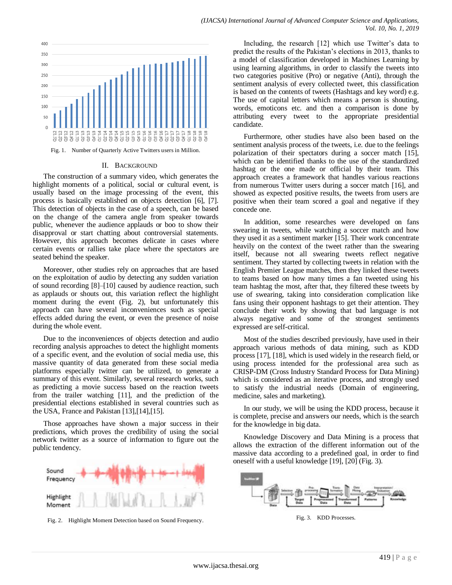

Fig. 1. Number of Quarterly Active Twitters users in Million.

#### II. BACKGROUND

The construction of a summary video, which generates the highlight moments of a political, social or cultural event, is usually based on the image processing of the event, this process is basically established on objects detection [6], [7]. This detection of objects in the case of a speech, can be based on the change of the camera angle from speaker towards public, whenever the audience applauds or boo to show their disapproval or start chatting about controversial statements. However, this approach becomes delicate in cases where certain events or rallies take place where the spectators are seated behind the speaker.

Moreover, other studies rely on approaches that are based on the exploitation of audio by detecting any sudden variation of sound recording [8]–[10] caused by audience reaction, such as applauds or shouts out, this variation reflect the highlight moment during the event (Fig. 2), but unfortunately this approach can have several inconveniences such as special effects added during the event, or even the presence of noise during the whole event.

Due to the inconveniences of objects detection and audio recording analysis approaches to detect the highlight moments of a specific event, and the evolution of social media use, this massive quantity of data generated from these social media platforms especially twitter can be utilized, to generate a summary of this event. Similarly, several research works, such as predicting a movie success based on the reaction tweets from the trailer watching [11], and the prediction of the presidential elections established in several countries such as the USA, France and Pakistan [13],[14],[15].

Those approaches have shown a major success in their predictions, which proves the credibility of using the social network twitter as a source of information to figure out the public tendency.



Fig. 2. Highlight Moment Detection based on Sound Frequency.

Including, the research [12] which use Twitter's data to predict the results of the Pakistan's elections in 2013, thanks to a model of classification developed in Machines Learning by using learning algorithms, in order to classify the tweets into two categories positive (Pro) or negative (Anti), through the sentiment analysis of every collected tweet, this classification is based on the contents of tweets (Hashtags and key word) e.g. The use of capital letters which means a person is shouting, words, emoticons etc. and then a comparison is done by attributing every tweet to the appropriate presidential candidate.

Furthermore, other studies have also been based on the sentiment analysis process of the tweets, i.e. due to the feelings polarization of their spectators during a soccer match [15], which can be identified thanks to the use of the standardized hashtag or the one made or official by their team. This approach creates a framework that handles various reactions from numerous Twitter users during a soccer match [16], and showed as expected positive results, the tweets from users are positive when their team scored a goal and negative if they concede one.

In addition, some researches were developed on fans swearing in tweets, while watching a soccer match and how they used it as a sentiment marker [15]. Their work concentrate heavily on the context of the tweet rather than the swearing itself, because not all swearing tweets reflect negative sentiment. They started by collecting tweets in relation with the English Premier League matches, then they linked these tweets to teams based on how many times a fan tweeted using his team hashtag the most, after that, they filtered these tweets by use of swearing, taking into consideration complication like fans using their opponent hashtags to get their attention. They conclude their work by showing that bad language is not always negative and some of the strongest sentiments expressed are self-critical.

Most of the studies described previously, have used in their approach various methods of data mining, such as KDD process [17], [18], which is used widely in the research field, or using process intended for the professional area such as CRISP-DM (Cross Industry Standard Process for Data Mining) which is considered as an iterative process, and strongly used to satisfy the industrial needs (Domain of engineering, medicine, sales and marketing).

In our study, we will be using the KDD process, because it is complete, precise and answers our needs, which is the search for the knowledge in big data.

Knowledge Discovery and Data Mining is a process that allows the extraction of the different information out of the massive data according to a predefined goal, in order to find oneself with a useful knowledge [19], [20] (Fig. 3).



Fig. 3. KDD Processes.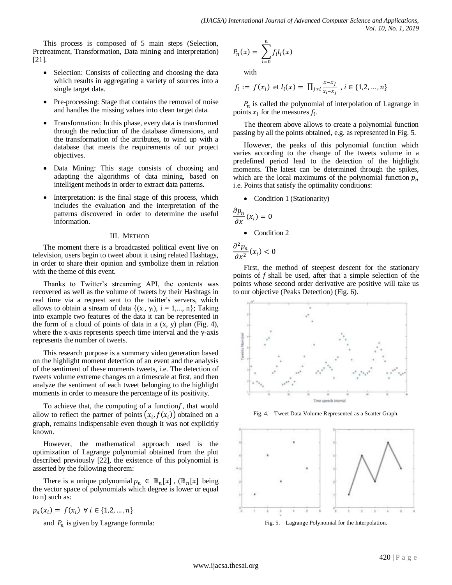This process is composed of 5 main steps (Selection, Pretreatment, Transformation, Data mining and Interpretation) [21].

- Selection: Consists of collecting and choosing the data which results in aggregating a variety of sources into a single target data.
- Pre-processing: Stage that contains the removal of noise and handles the missing values into clean target data.
- Transformation: In this phase, every data is transformed through the reduction of the database dimensions, and the transformation of the attributes, to wind up with a database that meets the requirements of our project objectives.
- Data Mining: This stage consists of choosing and adapting the algorithms of data mining, based on intelligent methods in order to extract data patterns.
- Interpretation: is the final stage of this process, which includes the evaluation and the interpretation of the patterns discovered in order to determine the useful information.

### III. METHOD

The moment there is a broadcasted political event live on television, users begin to tweet about it using related Hashtags, in order to share their opinion and symbolize them in relation with the theme of this event.

Thanks to Twitter's streaming API, the contents was recovered as well as the volume of tweets by their Hashtags in real time via a request sent to the twitter's servers, which allows to obtain a stream of data  $\{(x_i, y_i), i = 1,..., n\}$ ; Taking into example two features of the data it can be represented in the form of a cloud of points of data in a  $(x, y)$  plan (Fig. 4), where the x-axis represents speech time interval and the y-axis represents the number of tweets.

This research purpose is a summary video generation based on the highlight moment detection of an event and the analysis of the sentiment of these moments tweets, i.e. The detection of tweets volume extreme changes on a timescale at first, and then analyze the sentiment of each tweet belonging to the highlight moments in order to measure the percentage of its positivity.

To achieve that, the computing of a function  $f$ , that would allow to reflect the partner of points  $(x_i, f(x_i))$  obtained on a graph, remains indispensable even though it was not explicitly known.

However, the mathematical approach used is the optimization of Lagrange polynomial obtained from the plot described previously [22], the existence of this polynomial is asserted by the following theorem:

There is a unique polynomial  $p_n \in \mathbb{R}_n[x]$ ,  $(\mathbb{R}_n[x])$  being the vector space of polynomials which degree is lower or equal to n) such as:

 $p_n(x_i) = f(x_i) \ \forall \ i \in \{1, 2, ..., n\}$ 

and  $P_n$  is given by Lagrange formula:

$$
P_n(x) = \sum_{i=0}^n f_i l_i(x)
$$

with

$$
f_i := f(x_i) \text{ et } l_i(x) = \prod_{j \neq i} \frac{x - x_j}{x_i - x_j}, i \in \{1, 2, ..., n\}
$$

 $P_n$  is called the polynomial of interpolation of Lagrange in points  $x_i$  for the measures  $f_i$ .

The theorem above allows to create a polynomial function passing by all the points obtained, e.g. as represented in Fig. 5.

However, the peaks of this polynomial function which varies according to the change of the tweets volume in a predefined period lead to the detection of the highlight moments. The latest can be determined through the spikes, which are the local maximums of the polynomial function  $p_n$ i.e. Points that satisfy the optimality conditions:

• Condition 1 (Stationarity)

$$
\frac{\partial p_n}{\partial x}(x_i) = 0
$$

Condition 2

 $\partial^2$  $\frac{\partial^2 F_n}{\partial x^2}(x_i)$ 

First, the method of steepest descent for the stationary points of *f* shall be used, after that a simple selection of the points whose second order derivative are positive will take us to our objective (Peaks Detection) (Fig. 6).



Fig. 4. Tweet Data Volume Represented as a Scatter Graph.

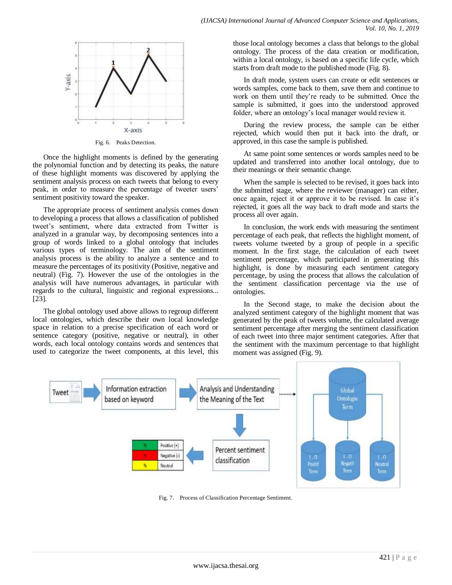

Fig. 6. Peaks Detection.

Once the highlight moments is defined by the generating the polynomial function and by detecting its peaks, the nature of these highlight moments was discovered by applying the sentiment analysis process on each tweets that belong to every peak, in order to measure the percentage of tweeter users' sentiment positivity toward the speaker.

The appropriate process of sentiment analysis comes down to developing a process that allows a classification of published tweet's sentiment, where data extracted from Twitter is analyzed in a granular way, by decomposing sentences into a group of words linked to a global ontology that includes various types of terminology. The aim of the sentiment analysis process is the ability to analyze a sentence and to measure the percentages of its positivity (Positive, negative and neutral) (Fig. 7). However the use of the ontologies in the analysis will have numerous advantages, in particular with regards to the cultural, linguistic and regional expressions... [23].

The global ontology used above allows to regroup different local ontologies, which describe their own local knowledge space in relation to a precise specification of each word or sentence category (positive, negative or neutral), in other words, each local ontology contains words and sentences that used to categorize the tweet components, at this level, this those local ontology becomes a class that belongs to the global ontology. The process of the data creation or modification, within a local ontology, is based on a specific life cycle, which starts from draft mode to the published mode (Fig. 8).

In draft mode, system users can create or edit sentences or words samples, come back to them, save them and continue to work on them until they're ready to be submitted. Once the sample is submitted, it goes into the understood approved folder, where an ontology's local manager would review it.

During the review process, the sample can be either rejected, which would then put it back into the draft, or approved, in this case the sample is published.

At same point some sentences or words samples need to be updated and transferred into another local ontology, due to their meanings or their semantic change.

When the sample is selected to be revised, it goes back into the submitted stage, where the reviewer (manager) can either, once again, reject it or approve it to be revised. In case it's rejected, it goes all the way back to draft mode and starts the process all over again.

In conclusion, the work ends with measuring the sentiment percentage of each peak, that reflects the highlight moment, of tweets volume tweeted by a group of people in a specific moment. In the first stage, the calculation of each tweet sentiment percentage, which participated in generating this highlight, is done by measuring each sentiment category percentage, by using the process that allows the calculation of the sentiment classification percentage via the use of ontologies.

In the Second stage, to make the decision about the analyzed sentiment category of the highlight moment that was generated by the peak of tweets volume, the calculated average sentiment percentage after merging the sentiment classification of each tweet into three major sentiment categories. After that the sentiment with the maximum percentage to that highlight moment was assigned (Fig. 9).



Fig. 7. Process of Classification Percentage Sentiment.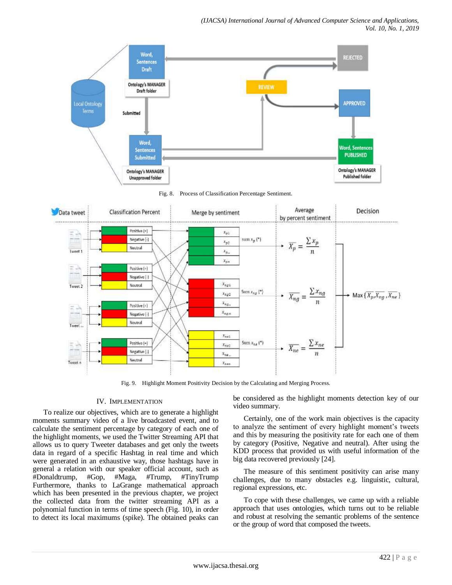

Fig. 9. Highlight Moment Positivity Decision by the Calculating and Merging Process.

## IV. IMPLEMENTATION

To realize our objectives, which are to generate a highlight moments summary video of a live broadcasted event, and to calculate the sentiment percentage by category of each one of the highlight moments, we used the Twitter Streaming API that allows us to query Tweeter databases and get only the tweets data in regard of a specific Hashtag in real time and which were generated in an exhaustive way, those hashtags have in general a relation with our speaker official account, such as #Donaldtrump, #Gop, #Maga, #Trump, #TinyTrump Furthermore, thanks to LaGrange mathematical approach which has been presented in the previous chapter, we project the collected data from the twitter streaming API as a polynomial function in terms of time speech (Fig. 10), in order to detect its local maximums (spike). The obtained peaks can be considered as the highlight moments detection key of our video summary.

Certainly, one of the work main objectives is the capacity to analyze the sentiment of every highlight moment's tweets and this by measuring the positivity rate for each one of them by category (Positive, Negative and neutral). After using the KDD process that provided us with useful information of the big data recovered previously [24].

The measure of this sentiment positivity can arise many challenges, due to many obstacles e.g. linguistic, cultural, regional expressions, etc.

To cope with these challenges, we came up with a reliable approach that uses ontologies, which turns out to be reliable and robust at resolving the semantic problems of the sentence or the group of word that composed the tweets.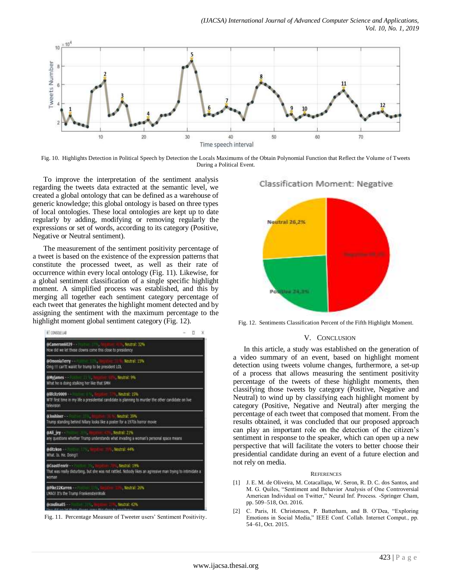

Fig. 10. Highlights Detection in Political Speech by Detection the Locals Maximums of the Obtain Polynomial Function that Reflect the Volume of Tweets During a Political Event.

To improve the interpretation of the sentiment analysis regarding the tweets data extracted at the semantic level, we created a global ontology that can be defined as a warehouse of generic knowledge; this global ontology is based on three types of local ontologies. These local ontologies are kept up to date regularly by adding, modifying or removing regularly the expressions or set of words, according to its category (Positive, Negative or Neutral sentiment).

The measurement of the sentiment positivity percentage of a tweet is based on the existence of the expression patterns that constitute the processed tweet, as well as their rate of occurrence within every local ontology (Fig. 11). Likewise, for a global sentiment classification of a single specific highlight moment. A simplified process was established, and this by merging all together each sentiment category percentage of each tweet that generates the highlight moment detected and by assigning the sentiment with the maximum percentage to the highlight moment global sentiment category (Fig. 12).



Fig. 11. Percentage Measure of Tweeter users' Sentiment Positivity.

Classification Moment: Negative



Fig. 12. Sentiments Classification Percent of the Fifth Highlight Moment.

### V. CONCLUSION

In this article, a study was established on the generation of a video summary of an event, based on highlight moment detection using tweets volume changes, furthermore, a set-up of a process that allows measuring the sentiment positivity percentage of the tweets of these highlight moments, then classifying those tweets by category (Positive, Negative and Neutral) to wind up by classifying each highlight moment by category (Positive, Negative and Neutral) after merging the percentage of each tweet that composed that moment. From the results obtained, it was concluded that our proposed approach can play an important role on the detection of the citizen's sentiment in response to the speaker, which can open up a new perspective that will facilitate the voters to better choose their presidential candidate during an event of a future election and not rely on media.

#### **REFERENCES**

- [1] J. E. M. de Oliveira, M. Cotacallapa, W. Seron, R. D. C. dos Santos, and M. G. Quiles, "Sentiment and Behavior Analysis of One Controversial American Individual on Twitter," Neural Inf. Process. -Springer Cham, pp. 509–518, Oct. 2016.
- [2] C. Paris, H. Christensen, P. Batterham, and B. O'Dea, "Exploring Emotions in Social Media," IEEE Conf. Collab. Internet Comput., pp. 54–61, Oct. 2015.